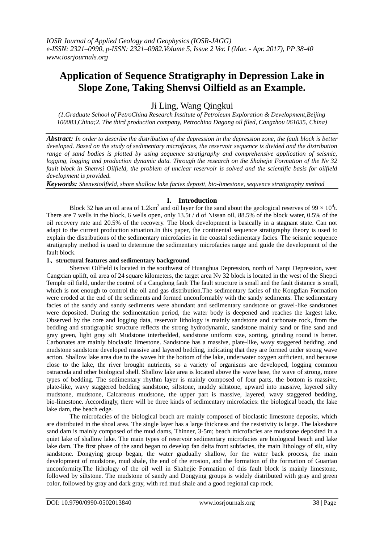# **Application of Sequence Stratigraphy in Depression Lake in Slope Zone, Taking Shenvsi Oilfield as an Example.**

Ji Ling, Wang Qingkui

*(1.Graduate School of PetroChina Research Institute of Petroleum Exploration & Development,Beijing 100083,China;2. The third production company, Petrochina Dagang oil filed, Cangzhou 061035, China)*

*Abstract: In order to describe the distribution of the depression in the depression zone, the fault block is better developed. Based on the study of sedimentary microfacies, the reservoir sequence is divided and the distribution range of sand bodies is plotted by using sequence stratigraphy and comprehensive application of seismic, logging, logging and production dynamic data. Through the research on the Shahejie Formation of the Nv 32 fault block in Shenvsi Oilfield, the problem of unclear reservoir is solved and the scientific basis for oilfield development is provided.*

*Keywords: Shenvsioilfield, shore shallow lake facies deposit, bio-limestone, sequence stratigraphy method*

## **I. Introduction**

Block 32 has an oil area of 1.2km<sup>3</sup> and oil layer for the sand about the geological reserves of 99  $\times$  10<sup>4</sup>t. There are 7 wells in the block, 6 wells open, only 13.5t / d of Nissan oil, 88.5% of the block water, 0.5% of the oil recovery rate and 20.5% of the recovery. The block development is basically in a stagnant state. Can not adapt to the current production situation.In this paper, the continental sequence stratigraphy theory is used to explain the distributions of the sedimentary microfacies in the coastal sedimentary facies. The seismic sequence stratigraphy method is used to determine the sedimentary microfacies range and guide the development of the fault block.

#### **1**、**structural features and sedimentary background**

Shenvsi Oilfield is located in the southwest of Huanghua Depression, north of Nanpi Depression, west Cangxian uplift, oil area of 24 square kilometers, the target area Nv 32 block is located in the west of the Shepci Temple oil field, under the control of a Cangdong fault The fault structure is small and the fault distance is small, which is not enough to control the oil and gas distribution. The sedimentary facies of the Kongdian Formation were eroded at the end of the sediments and formed unconformably with the sandy sediments. The sedimentary facies of the sandy and sandy sediments were abundant and sedimentary sandstone or gravel-like sandstones were deposited. During the sedimentation period, the water body is deepened and reaches the largest lake. Observed by the core and logging data, reservoir lithology is mainly sandstone and carbonate rock, from the bedding and stratigraphic structure reflects the strong hydrodynamic, sandstone mainly sand or fine sand and gray green, light gray silt Mudstone interbedded, sandstone uniform size, sorting, grinding round is better. Carbonates are mainly bioclastic limestone. Sandstone has a massive, plate-like, wavy staggered bedding, and mudstone sandstone developed massive and layered bedding, indicating that they are formed under strong wave action. Shallow lake area due to the waves hit the bottom of the lake, underwater oxygen sufficient, and because close to the lake, the river brought nutrients, so a variety of organisms are developed, logging common ostracoda and other biological shell. Shallow lake area is located above the wave base, the wave of strong, more types of bedding. The sedimentary rhythm layer is mainly composed of four parts, the bottom is massive, plate-like, wavy staggered bedding sandstone, siltstone, muddy siltstone, upward into massive, layered silty mudstone, mudstone, Calcareous mudstone, the upper part is massive, layered, wavy staggered bedding, bio-limestone. Accordingly, there will be three kinds of sedimentary microfacies: the biological beach, the lake lake dam, the beach edge.

The microfacies of the biological beach are mainly composed of bioclastic limestone deposits, which are distributed in the shoal area. The single layer has a large thickness and the resistivity is large. The lakeshore sand dam is mainly composed of the mud dams, Thinner, 3-5m; beach microfacies are mudstone deposited in a quiet lake of shallow lake. The main types of reservoir sedimentary microfacies are biological beach and lake lake dam. The first phase of the sand began to develop fan delta front subfacies, the main lithology of silt, silty sandstone. Dongying group began, the water gradually shallow, for the water back process, the main development of mudstone, mud shale, the end of the erosion, and the formation of the formation of Guantao unconformity.The lithology of the oil well in Shahejie Formation of this fault block is mainly limestone, followed by siltstone. The mudstone of sandy and Dongying groups is widely distributed with gray and green color, followed by gray and dark gray, with red mud shale and a good regional cap rock.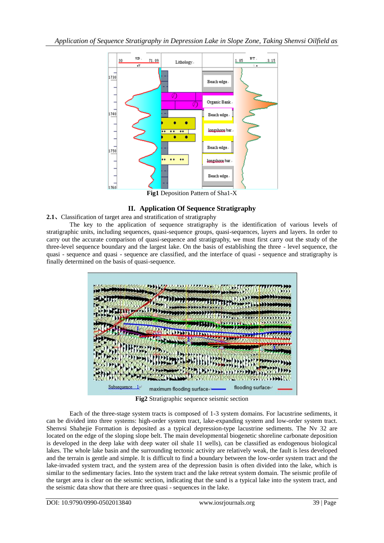

**Fig1** Deposition Pattern of Sha1-X

## **II. Application Of Sequence Stratigraphy**

## **2.1**、Classification of target area and stratification of stratigraphy

The key to the application of sequence stratigraphy is the identification of various levels of stratigraphic units, including sequences, quasi-sequence groups, quasi-sequences, layers and layers. In order to carry out the accurate comparison of quasi-sequence and stratigraphy, we must first carry out the study of the three-level sequence boundary and the largest lake. On the basis of establishing the three - level sequence, the quasi - sequence and quasi - sequence are classified, and the interface of quasi - sequence and stratigraphy is finally determined on the basis of quasi-sequence.



**Fig2** Stratigraphic sequence seismic section

Each of the three-stage system tracts is composed of 1-3 system domains. For lacustrine sediments, it can be divided into three systems: high-order system tract, lake-expanding system and low-order system tract. Shenvsi Shahejie Formation is deposited as a typical depression-type lacustrine sediments. The Nv 32 are located on the edge of the sloping slope belt. The main developmental biogenetic shoreline carbonate deposition is developed in the deep lake with deep water oil shale 11 wells), can be classified as endogenous biological lakes. The whole lake basin and the surrounding tectonic activity are relatively weak, the fault is less developed and the terrain is gentle and simple. It is difficult to find a boundary between the low-order system tract and the lake-invaded system tract, and the system area of the depression basin is often divided into the lake, which is similar to the sedimentary facies. Into the system tract and the lake retreat system domain. The seismic profile of the target area is clear on the seismic section, indicating that the sand is a typical lake into the system tract, and the seismic data show that there are three quasi - sequences in the lake.